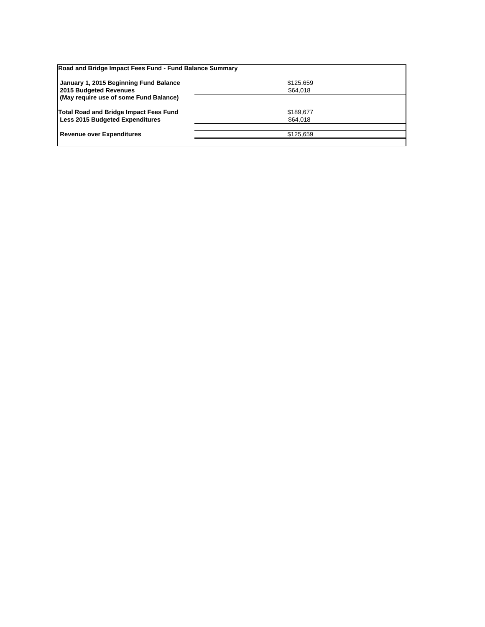| Road and Bridge Impact Fees Fund - Fund Balance Summary |           |  |
|---------------------------------------------------------|-----------|--|
| January 1, 2015 Beginning Fund Balance                  | \$125,659 |  |
| 2015 Budgeted Revenues                                  | \$64,018  |  |
| (May require use of some Fund Balance)                  |           |  |
| Total Road and Bridge Impact Fees Fund                  | \$189,677 |  |
| <b>Less 2015 Budgeted Expenditures</b>                  | \$64,018  |  |
|                                                         |           |  |
| <b>Revenue over Expenditures</b>                        | \$125.659 |  |
|                                                         |           |  |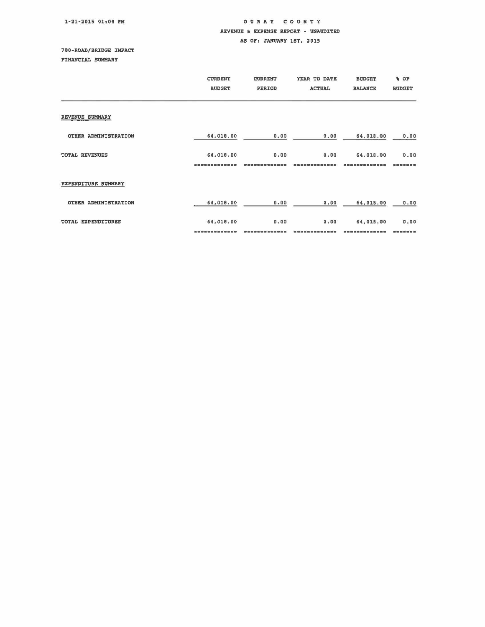## 1-21-2015 01:04 PM

## OUR A Y COUNTY REVENUE & EXPENSE REPORT - UNAUDITED

AS OF: JANUARY 1ST, 2015

## 700-ROAD/BRIDGE IMPACT

FINANCIAL SUMMARY

|                       | <b>CURRENT</b><br><b>BUDGET</b> | <b>CURRENT</b><br>PERIOD | YEAR TO DATE<br><b>ACTUAL</b> | <b>BUDGET</b><br><b>BALANCE</b> | % OF<br><b>BUDGET</b> |
|-----------------------|---------------------------------|--------------------------|-------------------------------|---------------------------------|-----------------------|
| REVENUE SUMMARY       |                                 |                          |                               |                                 |                       |
| OTHER ADMINISTRATION  | 64,018.00                       | 0.00                     | 0.00                          | 64,018.00                       | 0.00                  |
| <b>TOTAL REVENUES</b> | 64,018,00                       | 0.00                     | 0.00                          | 64.018.00                       | 0.00<br>最低量常常品        |
| EXPENDITURE SUMMARY   |                                 |                          |                               |                                 |                       |
| OTHER ADMINISTRATION  | 64,018.00                       | 0.00                     | 0.00                          | 64,018.00                       | 0.00                  |
| TOTAL EXPENDITURES    | 64,018.00                       | 0.00                     | 0.00                          | 64,018.00                       | 0.00                  |
|                       |                                 |                          |                               |                                 | 需需需需                  |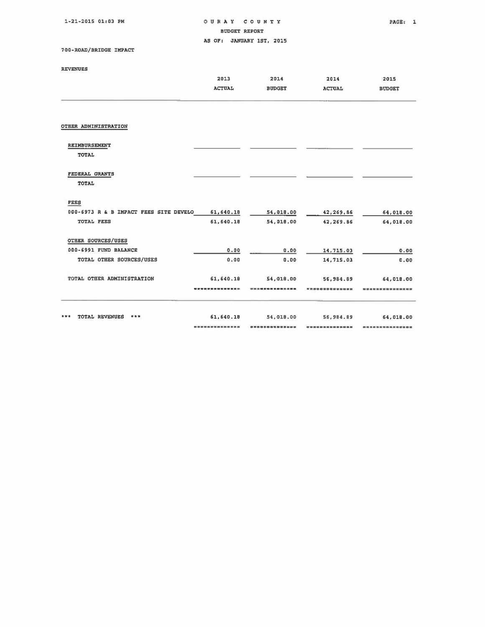1·21·2015 01:03 PM

OURAY COUNTY PAGE: 1

BUDGET REPORT

AS OF: JANUARY 1ST, 2015

700.ROAD/BRIDGE IMPACT

## REVENUES

| 2013               | 2014          | 2014          | 2015          |
|--------------------|---------------|---------------|---------------|
| <b>ACTUAL</b>      | <b>BUDGET</b> | <b>ACTUAL</b> | <b>BUDGET</b> |
|                    |               |               |               |
|                    |               |               |               |
|                    |               |               |               |
|                    |               |               |               |
|                    |               |               |               |
|                    |               |               |               |
|                    |               |               |               |
| 61,640.18          | 54,018.00     | 42,269.86     | 64,018.00     |
| 61,640.18          | 54,018.00     | 42,269.86     | 64,018.00     |
|                    |               |               |               |
| 0.00               | 0.00          | 14,715.03     | 0.00          |
| 0.00               | 0.00          | 14,715.03     | 0.00          |
| 61,640.18          | 54,018,00     | 56,984.89     | 64,018.00     |
|                    |               |               |               |
|                    |               |               | 64,018.00     |
| ------------------ |               |               |               |
|                    | 61,640.18     | 54.010.00     | 56,984.89     |